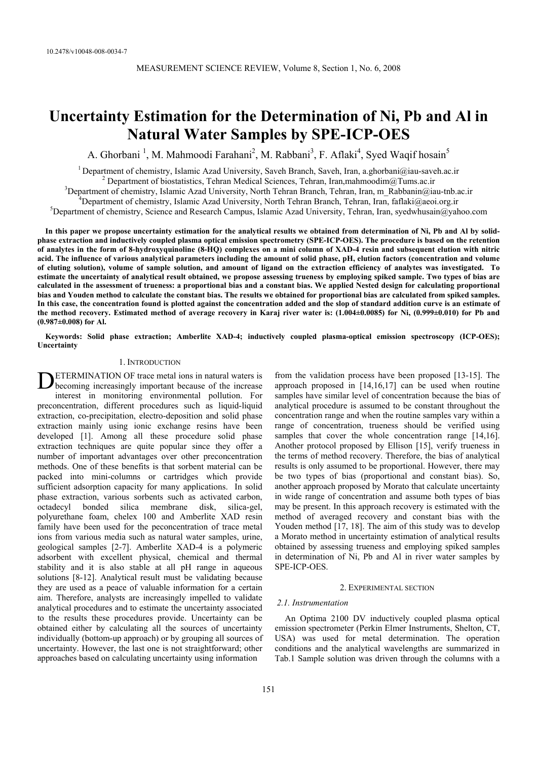# **Uncertainty Estimation for the Determination of Ni, Pb and Al in Natural Water Samples by SPE-ICP-OES**

A. Ghorbani<sup>1</sup>, M. Mahmoodi Farahani<sup>2</sup>, M. Rabbani<sup>3</sup>, F. Aflaki<sup>4</sup>, Syed Waqif hosain<sup>5</sup>

<sup>1</sup> Department of chemistry, Islamic Azad University, Saveh Branch, Saveh, Iran, a.ghorbani@iau-saveh.ac.ir

<sup>2</sup> Department of biostatistics, Tehran Medical Sciences, Tehran, Iran,mahmoodim@Tums.ac.ir

<sup>3</sup>Department of chemistry, Islamic Azad University, North Tehran Branch, Tehran, Iran, m\_Rabbanin@iau-tnb.ac.ir

<sup>4</sup>Department of chemistry, Islamic Azad University, North Tehran Branch, Tehran, Iran, faflaki@aeoi.org.ir

<sup>5</sup>Department of chemistry, Science and Research Campus, Islamic Azad University, Tehran, Iran, syedwhusain@yahoo.com

**In this paper we propose uncertainty estimation for the analytical results we obtained from determination of Ni, Pb and Al by solidphase extraction and inductively coupled plasma optical emission spectrometry (SPE-ICP-OES). The procedure is based on the retention of analytes in the form of 8-hydroxyquinoline (8-HQ) complexes on a mini column of XAD-4 resin and subsequent elution with nitric acid. The influence of various analytical parameters including the amount of solid phase, pH, elution factors (concentration and volume of eluting solution), volume of sample solution, and amount of ligand on the extraction efficiency of analytes was investigated. To estimate the uncertainty of analytical result obtained, we propose assessing trueness by employing spiked sample. Two types of bias are calculated in the assessment of trueness: a proportional bias and a constant bias. We applied Nested design for calculating proportional bias and Youden method to calculate the constant bias. The results we obtained for proportional bias are calculated from spiked samples. In this case, the concentration found is plotted against the concentration added and the slop of standard addition curve is an estimate of the method recovery. Estimated method of average recovery in Karaj river water is: (1.004±0.0085) for Ni, (0.999±0.010) for Pb and (0.987±0.008) for Al.** 

**Keywords: Solid phase extraction; Amberlite XAD-4; inductively coupled plasma-optical emission spectroscopy (ICP-OES); Uncertainty** 

# 1. INTRODUCTION

ETERMINATION OF trace metal ions in natural waters is **DETERMINATION OF trace metal ions in natural waters is** becoming increasingly important because of the increase interest in monitoring environmental pollution. For preconcentration, different procedures such as liquid-liquid extraction, co-precipitation, electro-deposition and solid phase extraction mainly using ionic exchange resins have been developed [1]. Among all these procedure solid phase extraction techniques are quite popular since they offer a number of important advantages over other preconcentration methods. One of these benefits is that sorbent material can be packed into mini-columns or cartridges which provide sufficient adsorption capacity for many applications. In solid phase extraction, various sorbents such as activated carbon, octadecyl bonded silica membrane disk, silica-gel, polyurethane foam, chelex 100 and Amberlite XAD resin family have been used for the peconcentration of trace metal ions from various media such as natural water samples, urine, geological samples [2-7]. Amberlite XAD-4 is a polymeric adsorbent with excellent physical, chemical and thermal stability and it is also stable at all pH range in aqueous solutions [8-12]. Analytical result must be validating because they are used as a peace of valuable information for a certain aim. Therefore, analysts are increasingly impelled to validate analytical procedures and to estimate the uncertainty associated to the results these procedures provide. Uncertainty can be obtained either by calculating all the sources of uncertainty individually (bottom-up approach) or by grouping all sources of uncertainty. However, the last one is not straightforward; other approaches based on calculating uncertainty using information

from the validation process have been proposed [13-15]. The approach proposed in [14,16,17] can be used when routine samples have similar level of concentration because the bias of analytical procedure is assumed to be constant throughout the concentration range and when the routine samples vary within a range of concentration, trueness should be verified using samples that cover the whole concentration range [14,16]. Another protocol proposed by Ellison [15], verify trueness in the terms of method recovery. Therefore, the bias of analytical results is only assumed to be proportional. However, there may be two types of bias (proportional and constant bias). So, another approach proposed by Morato that calculate uncertainty in wide range of concentration and assume both types of bias may be present. In this approach recovery is estimated with the method of averaged recovery and constant bias with the Youden method [17, 18]. The aim of this study was to develop a Morato method in uncertainty estimation of analytical results obtained by assessing trueness and employing spiked samples in determination of Ni, Pb and Al in river water samples by SPE-ICP-OES.

# 2. EXPERIMENTAL SECTION

# *2.1. Instrumentation*

An Optima 2100 DV inductively coupled plasma optical emission spectrometer (Perkin Elmer Instruments, Shelton, CT, USA) was used for metal determination. The operation conditions and the analytical wavelengths are summarized in Tab.1 Sample solution was driven through the columns with a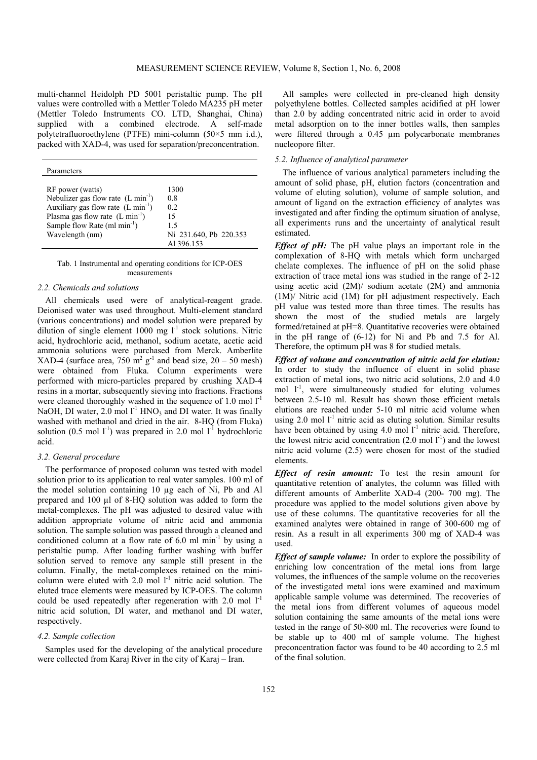multi-channel Heidolph PD 5001 peristaltic pump. The pH values were controlled with a Mettler Toledo MA235 pH meter (Mettler Toledo Instruments CO. LTD, Shanghai, China) supplied with a combined electrode. A self-made polytetrafluoroethylene (PTFE) mini-column (50×5 mm i.d.), packed with XAD-4, was used for separation/preconcentration.

| Parameters                                                                                                                                                                                                                 |                                                                       |
|----------------------------------------------------------------------------------------------------------------------------------------------------------------------------------------------------------------------------|-----------------------------------------------------------------------|
| RF power (watts)<br>Nebulizer gas flow rate $(L \text{ min}^{-1})$<br>Auxiliary gas flow rate (L min <sup>-1</sup> )<br>Plasma gas flow rate $(L \text{ min}^{-1})$<br>Sample flow Rate $(ml min^{-1})$<br>Wavelength (nm) | 1300<br>0.8<br>02<br>15<br>15<br>Ni 231.640, Pb 220.353<br>Al 396.153 |

Tab. 1 Instrumental and operating conditions for ICP-OES measurements

#### *2.2. Chemicals and solutions*

All chemicals used were of analytical-reagent grade. Deionised water was used throughout. Multi-element standard (various concentrations) and model solution were prepared by dilution of single element 1000 mg  $I<sup>-1</sup>$  stock solutions. Nitric acid, hydrochloric acid, methanol, sodium acetate, acetic acid ammonia solutions were purchased from Merck. Amberlite XAD-4 (surface area, 750  $\text{m}^2$  g<sup>-1</sup> and bead size, 20 – 50 mesh) were obtained from Fluka. Column experiments were performed with micro-particles prepared by crushing XAD-4 resins in a mortar, subsequently sieving into fractions. Fractions were cleaned thoroughly washed in the sequence of  $1.0 \text{ mol } l^{-1}$ NaOH, DI water,  $2.0 \text{ mol}$  l<sup>-1</sup> HNO<sub>3</sub> and DI water. It was finally washed with methanol and dried in the air. 8-HQ (from Fluka) solution (0.5 mol  $l^{-1}$ ) was prepared in 2.0 mol  $l^{-1}$  hydrochloric acid.

# *3.2. General procedure*

The performance of proposed column was tested with model solution prior to its application to real water samples. 100 ml of the model solution containing 10 µg each of Ni, Pb and Al prepared and 100 µl of 8-HQ solution was added to form the metal-complexes. The pH was adjusted to desired value with addition appropriate volume of nitric acid and ammonia solution. The sample solution was passed through a cleaned and conditioned column at a flow rate of  $6.0$  ml min<sup>-1</sup> by using a peristaltic pump. After loading further washing with buffer solution served to remove any sample still present in the column. Finally, the metal-complexes retained on the minicolumn were eluted with 2.0 mol  $1<sup>-1</sup>$  nitric acid solution. The eluted trace elements were measured by ICP-OES. The column could be used repeatedly after regeneration with 2.0 mol  $1^{-1}$ nitric acid solution, DI water, and methanol and DI water, respectively.

### *4.2. Sample collection*

Samples used for the developing of the analytical procedure were collected from Karaj River in the city of Karaj – Iran.

All samples were collected in pre-cleaned high density polyethylene bottles. Collected samples acidified at pH lower than 2.0 by adding concentrated nitric acid in order to avoid metal adsorption on to the inner bottles walls, then samples were filtered through a 0.45 µm polycarbonate membranes nucleopore filter.

# *5.2. Influence of analytical parameter*

The influence of various analytical parameters including the amount of solid phase, pH, elution factors (concentration and volume of eluting solution), volume of sample solution, and amount of ligand on the extraction efficiency of analytes was investigated and after finding the optimum situation of analyse, all experiments runs and the uncertainty of analytical result estimated.

*Effect of pH:* The pH value plays an important role in the complexation of 8-HQ with metals which form uncharged chelate complexes. The influence of pH on the solid phase extraction of trace metal ions was studied in the range of 2-12 using acetic acid (2M)/ sodium acetate (2M) and ammonia (1M)/ Nitric acid (1M) for pH adjustment respectively. Each pH value was tested more than three times. The results has shown the most of the studied metals are largely formed/retained at pH=8. Quantitative recoveries were obtained in the pH range of (6-12) for Ni and Pb and 7.5 for Al. Therefore, the optimum pH was 8 for studied metals.

*Effect of volume and concentration of nitric acid for elution:*  In order to study the influence of eluent in solid phase extraction of metal ions, two nitric acid solutions, 2.0 and 4.0 mol  $1^{-1}$ , were simultaneously studied for eluting volumes between 2.5-10 ml. Result has shown those efficient metals elutions are reached under 5-10 ml nitric acid volume when using 2.0 mol  $1<sup>-1</sup>$  nitric acid as eluting solution. Similar results have been obtained by using  $4.0 \text{ mol} l^{-1}$  nitric acid. Therefore, the lowest nitric acid concentration  $(2.0 \text{ mol } l^{-1})$  and the lowest nitric acid volume (2.5) were chosen for most of the studied elements.

*Effect of resin amount:* To test the resin amount for quantitative retention of analytes, the column was filled with different amounts of Amberlite XAD-4 (200- 700 mg). The procedure was applied to the model solutions given above by use of these columns. The quantitative recoveries for all the examined analytes were obtained in range of 300-600 mg of resin. As a result in all experiments 300 mg of XAD-4 was used.

*Effect of sample volume:* In order to explore the possibility of enriching low concentration of the metal ions from large volumes, the influences of the sample volume on the recoveries of the investigated metal ions were examined and maximum applicable sample volume was determined. The recoveries of the metal ions from different volumes of aqueous model solution containing the same amounts of the metal ions were tested in the range of 50-800 ml. The recoveries were found to be stable up to 400 ml of sample volume. The highest preconcentration factor was found to be 40 according to 2.5 ml of the final solution.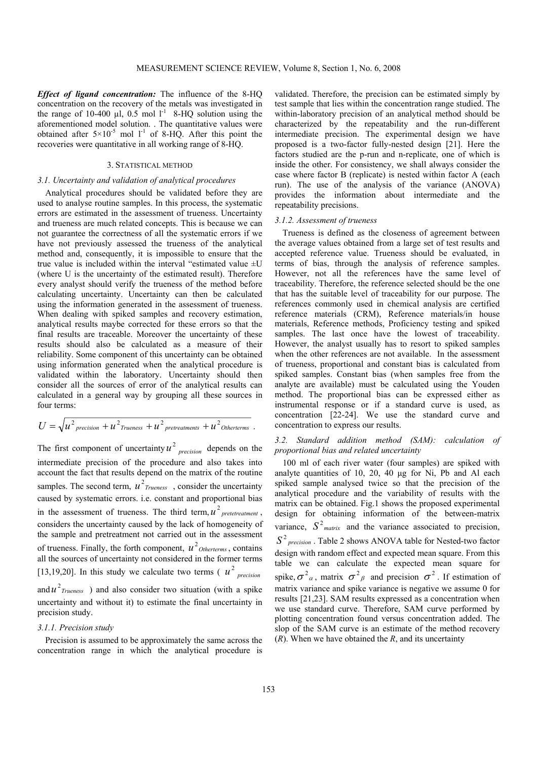*Effect of ligand concentration:* The influence of the 8-HQ concentration on the recovery of the metals was investigated in the range of 10-400  $\mu$ l, 0.5 mol l<sup>-1</sup> 8-HQ solution using the aforementioned model solution. . The quantitative values were obtained after  $5\times10^{-5}$  mol 1<sup>-1</sup> of 8-HQ. After this point the recoveries were quantitative in all working range of 8-HQ.

# 3. STATISTICAL METHOD

# *3.1. Uncertainty and validation of analytical procedures*

Analytical procedures should be validated before they are used to analyse routine samples. In this process, the systematic errors are estimated in the assessment of trueness. Uncertainty and trueness are much related concepts. This is because we can not guarantee the correctness of all the systematic errors if we have not previously assessed the trueness of the analytical method and, consequently, it is impossible to ensure that the true value is included within the interval "estimated value  $\pm U$ (where U is the uncertainty of the estimated result). Therefore every analyst should verify the trueness of the method before calculating uncertainty. Uncertainty can then be calculated using the information generated in the assessment of trueness. When dealing with spiked samples and recovery estimation, analytical results maybe corrected for these errors so that the final results are traceable. Moreover the uncertainty of these results should also be calculated as a measure of their reliability. Some component of this uncertainty can be obtained using information generated when the analytical procedure is validated within the laboratory. Uncertainty should then consider all the sources of error of the analytical results can calculated in a general way by grouping all these sources in four terms:

$$
U = \sqrt{u^2_{\text{precision}} + u^2_{\text{Trueness}} + u^2_{\text{pretreatments}} + u^2_{\text{Otherwise}}}
$$

The first component of uncertainty  $u^2$  *precision* depends on the intermediate precision of the procedure and also takes into account the fact that results depend on the matrix of the routine samples. The second term,  $u^2$ <sub>*Trueness*, consider the uncertainty</sub> caused by systematic errors. i.e. constant and proportional bias in the assessment of trueness. The third term,  $u^2$  pretetreatment, considers the uncertainty caused by the lack of homogeneity of the sample and pretreatment not carried out in the assessment of trueness. Finally, the forth component,  $u^2$ <sub>Otherterms</sub>, contains all the sources of uncertainty not considered in the former terms [13,19,20]. In this study we calculate two terms  $(u^2)_{precision}$ and  $u^2$ <sub>Trueness</sub>) and also consider two situation (with a spike uncertainty and without it) to estimate the final uncertainty in precision study.

#### *3.1.1. Precision study*

Precision is assumed to be approximately the same across the concentration range in which the analytical procedure is

validated. Therefore, the precision can be estimated simply by test sample that lies within the concentration range studied. The within-laboratory precision of an analytical method should be characterized by the repeatability and the run-different intermediate precision. The experimental design we have proposed is a two-factor fully-nested design [21]. Here the factors studied are the p-run and n-replicate, one of which is inside the other. For consistency, we shall always consider the case where factor B (replicate) is nested within factor A (each run). The use of the analysis of the variance (ANOVA) provides the information about intermediate and the repeatability precisions.

#### *3.1.2. Assessment of trueness*

Trueness is defined as the closeness of agreement between the average values obtained from a large set of test results and accepted reference value. Trueness should be evaluated, in terms of bias, through the analysis of reference samples. However, not all the references have the same level of traceability. Therefore, the reference selected should be the one that has the suitable level of traceability for our purpose. The references commonly used in chemical analysis are certified reference materials (CRM), Reference materials/in house materials, Reference methods, Proficiency testing and spiked samples. The last once have the lowest of traceability. However, the analyst usually has to resort to spiked samples when the other references are not available. In the assessment of trueness, proportional and constant bias is calculated from spiked samples. Constant bias (when samples free from the analyte are available) must be calculated using the Youden method. The proportional bias can be expressed either as instrumental response or if a standard curve is used, as concentration [22-24]. We use the standard curve and concentration to express our results.

# *3.2. Standard addition method (SAM): calculation of proportional bias and related uncertainty*

100 ml of each river water (four samples) are spiked with analyte quantities of 10, 20, 40 µg for Ni, Pb and Al each spiked sample analysed twice so that the precision of the analytical procedure and the variability of results with the matrix can be obtained. Fig.1 shows the proposed experimental design for obtaining information of the between-matrix variance,  $S^2$ <sub>matrix</sub> and the variance associated to precision,  $S<sup>2</sup>$  *precision* . Table 2 shows ANOVA table for Nested-two factor design with random effect and expected mean square. From this table we can calculate the expected mean square for spike,  $\sigma^2_{\alpha}$ , matrix  $\sigma^2_{\beta}$  and precision  $\sigma^2$ . If estimation of matrix variance and spike variance is negative we assume 0 for results [21,23]. SAM results expressed as a concentration when we use standard curve. Therefore, SAM curve performed by plotting concentration found versus concentration added. The slop of the SAM curve is an estimate of the method recovery (*R*). When we have obtained the *R*, and its uncertainty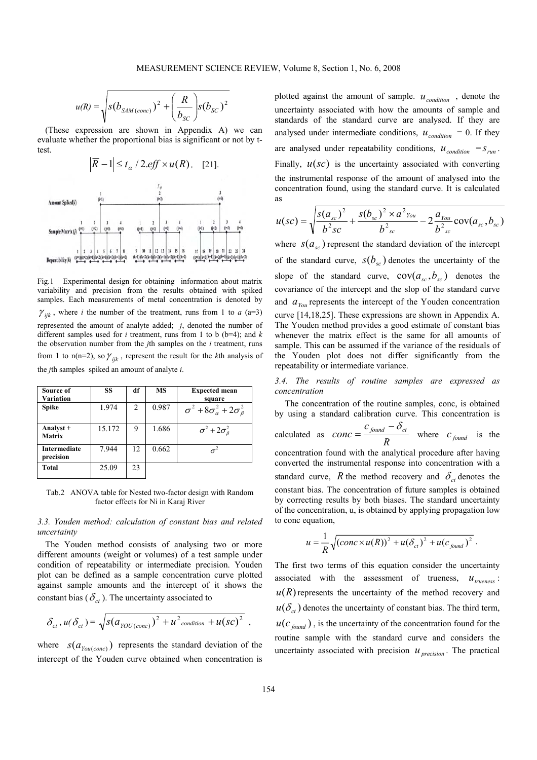$$
u(R) = \sqrt{s(b_{SAM\,(conc)})^2 + \left(\frac{R}{b_{SC}}\right)s(b_{SC})^2}
$$

(These expression are shown in Appendix A) we can evaluate whether the proportional bias is significant or not by ttest.



Fig.1 Experimental design for obtaining information about matrix variability and precision from the results obtained with spiked samples. Each measurements of metal concentration is denoted by  $\gamma_{ijk}$ , where *i* the number of the treatment, runs from 1 to *a* (a=3) represented the amount of analyte added; *j*, denoted the number of different samples used for *i* treatment, runs from 1 to b (b=4); and *k* the observation number from the *j*th samples on the *i* treatment, runs from 1 to n(n=2), so  $\gamma_{ijk}$ , represent the result for the *k*th analysis of the *j*th samples spiked an amount of analyte *i*.

| Source of<br>Variation     | SS     | df             | MS    | <b>Expected mean</b><br>square                  |
|----------------------------|--------|----------------|-------|-------------------------------------------------|
| <b>Spike</b>               | 1.974  | $\overline{2}$ | 0.987 | $\sigma^2+8\sigma^2_{\alpha}+2\sigma^2_{\beta}$ |
| Analyst +<br><b>Matrix</b> | 15.172 | 9              | 1.686 | $\sigma^2 + 2\sigma^2$                          |
| Intermediate<br>precision  | 7.944  | 12.            | 0.662 |                                                 |
| <b>Total</b>               | 25.09  | 23             |       |                                                 |

Tab.2 ANOVA table for Nested two-factor design with Random factor effects for Ni in Karaj River

# *3.3. Youden method: calculation of constant bias and related uncertainty*

The Youden method consists of analysing two or more different amounts (weight or volumes) of a test sample under condition of repeatability or intermediate precision. Youden plot can be defined as a sample concentration curve plotted against sample amounts and the intercept of it shows the constant bias ( $\delta_{ct}$ ). The uncertainty associated to

$$
\delta_{ct}\,, u(\delta_{ct}) = \sqrt{s(a_{\text{YOU}(\text{conc})})^2 + u^2_{\text{condition}} + u(\text{sc})^2} \,,
$$

where  $S(a_{\text{You}(\text{conc})})$  represents the standard deviation of the intercept of the Youden curve obtained when concentration is plotted against the amount of sample.  $u_{condition}$ , denote the uncertainty associated with how the amounts of sample and standards of the standard curve are analysed. If they are analysed under intermediate conditions,  $u_{condition} = 0$ . If they are analysed under repeatability conditions,  $u_{condition} = s_{run}$ . Finally,  $u(sc)$  is the uncertainty associated with converting the instrumental response of the amount of analysed into the concentration found, using the standard curve. It is calculated as

$$
u(sc) = \sqrt{\frac{s(a_{sc})^2}{b^2sc} + \frac{s(b_{sc})^2 \times a^2 v_{out}}{b^2 c} - 2\frac{a_{\text{You}}}{b^2 c} \text{cov}(a_{sc}, b_{sc})}
$$

where  $S(a_{sr})$  represent the standard deviation of the intercept of the standard curve,  $s(b_{sc})$  denotes the uncertainty of the slope of the standard curve,  $cov(a_x, b_x)$  denotes the covariance of the intercept and the slop of the standard curve and  $a_{\gamma_{ou}}$  represents the intercept of the Youden concentration curve [14,18,25]. These expressions are shown in Appendix A. The Youden method provides a good estimate of constant bias whenever the matrix effect is the same for all amounts of sample. This can be assumed if the variance of the residuals of the Youden plot does not differ significantly from the repeatability or intermediate variance.

*3.4. The results of routine samples are expressed as concentration* 

The concentration of the routine samples, conc, is obtained  
by using a standard calibration curve. This concentration is  
calculated as 
$$
conc = \frac{c_{found} - \delta_{ct}}{R}
$$
 where  $c_{found}$  is the  
concentration found with the analytical procedure after having  
converted the instrumental response into concentration with a  
standard curve, R the method recovery and  $\delta_{ct}$  denotes the  
constant bias. The concentration of future samples is obtained

by correcting results by both biases. The standard uncertainty of the concentration, u, is obtained by applying propagation low to conc equation,

$$
u=\frac{1}{R}\sqrt{(conc\times u(R))^{2}+u(\delta_{ct})^{2}+u(c_{found})^{2}}.
$$

The first two terms of this equation consider the uncertainty associated with the assessment of trueness,  $u_{\text{trueness}}$ :  $u(R)$  represents the uncertainty of the method recovery and  $u(\delta_{ct})$  denotes the uncertainty of constant bias. The third term,  $u(c_{\text{found}})$ , is the uncertainty of the concentration found for the routine sample with the standard curve and considers the uncertainty associated with precision  $u_{\text{precision}}$ . The practical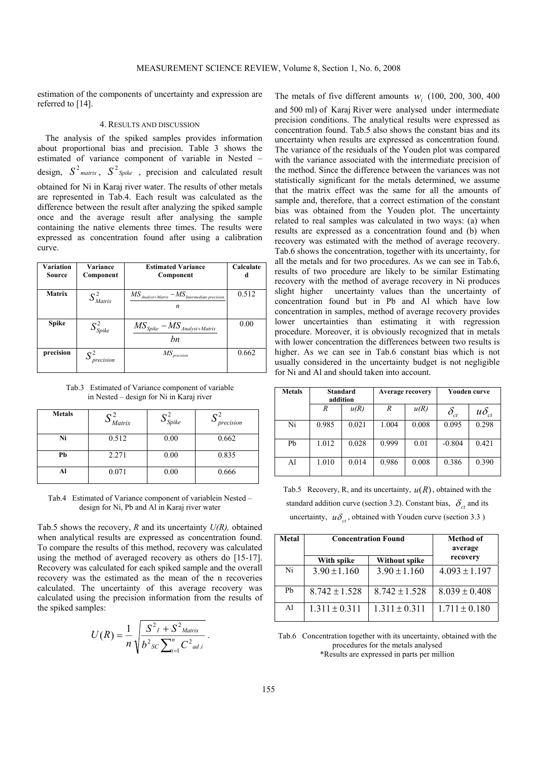estimation of the components of uncertainty and expression are referred to [14].

# 4. RESULTS AND DISCUSSION

The analysis of the spiked samples provides information about proportional bias and precision. Table 3 shows the estimated of variance component of variable in Nested – design,  $S^2$ <sub>matrix</sub>,  $S^2$ <sub>*Spike*, precision and calculated result</sub> obtained for Ni in Karaj river water. The results of other metals are represented in Tab.4. Each result was calculated as the difference between the result after analyzing the spiked sample once and the average result after analysing the sample containing the native elements three times. The results were expressed as concentration found after using a calibration curve.

| Variation<br>Source | Variance<br>Component   | <b>Estimated Variance</b><br>Component                                                                   | Calculate |
|---------------------|-------------------------|----------------------------------------------------------------------------------------------------------|-----------|
| <b>Matrix</b>       | $S_{\textit{Matrix}}^2$ | $\overline{MS}_{\textit{Analysis}+\textit{Matrix}}-\overline{MS}_{\textit{Intermediate precision}}$<br>n | 0.512     |
| <b>Spike</b>        | $S^2_{\textit{Spike}}$  | $MS_{Spike} - MS_{\text{Analysis+Matrix}}$<br>hn                                                         | 0.00      |
| precision           | precision               | МS<br>precision                                                                                          | 0.662     |

Tab.3 Estimated of Variance component of variable in Nested – design for Ni in Karaj river

| <b>Metals</b> | Matrix | $\mathcal{S}_{Spike}$ | $\sim$ 2<br>precision |
|---------------|--------|-----------------------|-----------------------|
| Ni            | 0.512  | 0.00                  | 0.662                 |
| Pb            | 2.271  | 0.00                  | 0.835                 |
| Al            | 0.071  | 0.00                  | 0.666                 |

Tab.4 Estimated of Variance component of variablein Nested – design for Ni, Pb and Al in Karaj river water

Tab.5 shows the recovery,  $R$  and its uncertainty  $U(R)$ , obtained when analytical results are expressed as concentration found. To compare the results of this method, recovery was calculated using the method of averaged recovery as others do [15-17]. Recovery was calculated for each spiked sample and the overall recovery was the estimated as the mean of the n recoveries calculated. The uncertainty of this average recovery was calculated using the precision information from the results of the spiked samples:

$$
U(R) = \frac{1}{n} \sqrt{\frac{S^2 I + S^2_{\text{Matrix}}}{b^2 s c \sum_{i=1}^{n} C^2_{\text{ad}.i}}}.
$$

The metals of five different amounts  $w_i$  (100, 200, 300, 400) and 500 ml) of Karaj River were analysed under intermediate precision conditions. The analytical results were expressed as concentration found. Tab.5 also shows the constant bias and its uncertainty when results are expressed as concentration found. The variance of the residuals of the Youden plot was compared with the variance associated with the intermediate precision of the method. Since the difference between the variances was not statistically significant for the metals determined, we assume that the matrix effect was the same for all the amounts of sample and, therefore, that a correct estimation of the constant bias was obtained from the Youden plot. The uncertainty related to real samples was calculated in two ways: (a) when results are expressed as a concentration found and (b) when recovery was estimated with the method of average recovery. Tab.6 shows the concentration, together with its uncertainty, for all the metals and for two procedures. As we can see in Tab.6, results of two procedure are likely to be similar Estimating recovery with the method of average recovery in Ni produces slight higher uncertainty values than the uncertainty of concentration found but in Pb and Al which have low concentration in samples, method of average recovery provides lower uncertainties than estimating it with regression procedure. Moreover, it is obviously recognized that in metals with lower concentration the differences between two results is higher. As we can see in Tab.6 constant bias which is not usually considered in the uncertainty budget is not negligible for Ni and Al and should taken into account.

| <b>Metals</b> |       | Standard<br>Youden curve<br><b>Average recovery</b><br>addition |       |       |                                  |                |
|---------------|-------|-----------------------------------------------------------------|-------|-------|----------------------------------|----------------|
|               | R     | u(R)                                                            | R     | u(R)  | $\delta_{\scriptscriptstyle ct}$ | $u\delta_{ct}$ |
| Ni            | 0.985 | 0.021                                                           | 1.004 | 0.008 | 0.095                            | 0.298          |
| Pb            | 1.012 | 0.028                                                           | 0.999 | 0.01  | $-0.804$                         | 0.421          |
| Al            | 1.010 | 0.014                                                           | 0.986 | 0.008 | 0.386                            | 0.390          |

Tab.5 Recovery, R, and its uncertainty,  $u(R)$ , obtained with the standard addition curve (section 3.2). Constant bias,  $\delta_{ct}$  and its uncertainty,  $u\delta_{ct}$ , obtained with Youden curve (section 3.3)

| <b>Metal</b> | <b>Concentration Found</b> | Method of<br>average      |                   |  |
|--------------|----------------------------|---------------------------|-------------------|--|
|              | With spike                 | recovery<br>Without spike |                   |  |
| Ni           | $3.90 \pm 1.160$           | $3.90 \pm 1.160$          | $4.093 \pm 1.197$ |  |
| Ph           | $8.742 \pm 1.528$          | $8.742 \pm 1.528$         | $8.039 \pm 0.408$ |  |
| Al           | $1.311 \pm 0.311$          | $1.311 \pm 0.311$         | $1.711 \pm 0.180$ |  |

Tab.6 Concentration together with its uncertainty, obtained with the procedures for the metals analysed \*Results are expressed in parts per million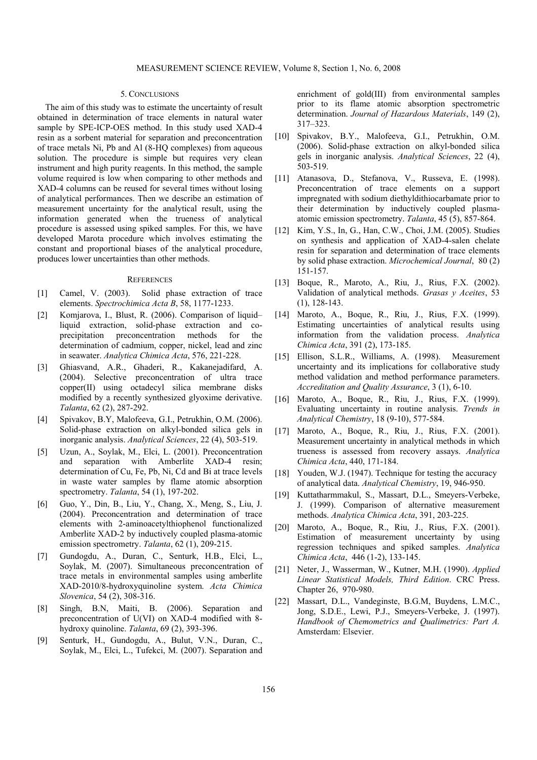#### 5. CONCLUSIONS

The aim of this study was to estimate the uncertainty of result obtained in determination of trace elements in natural water sample by SPE-ICP-OES method. In this study used XAD-4 resin as a sorbent material for separation and preconcentration of trace metals Ni, Pb and Al (8-HQ complexes) from aqueous solution. The procedure is simple but requires very clean instrument and high purity reagents. In this method, the sample volume required is low when comparing to other methods and XAD-4 columns can be reused for several times without losing of analytical performances. Then we describe an estimation of measurement uncertainty for the analytical result, using the information generated when the trueness of analytical procedure is assessed using spiked samples. For this, we have developed Marota procedure which involves estimating the constant and proportional biases of the analytical procedure, produces lower uncertainties than other methods.

#### **REFERENCES**

- [1] Camel, V. (2003). Solid phase extraction of trace elements. *Spectrochimica Acta B*, 58, 1177-1233.
- [2] Komjarova, I., Blust, R. (2006). Comparison of liquid– liquid extraction, solid-phase extraction and coprecipitation preconcentration methods for the determination of cadmium, copper, nickel, lead and zinc in seawater. *Analytica Chimica Acta*, 576, 221-228.
- [3] Ghiasvand, A.R., Ghaderi, R., Kakanejadifard, A. (2004). Selective preconcentration of ultra trace copper(II) using octadecyl silica membrane disks modified by a recently synthesized glyoxime derivative. *Talanta*, 62 (2), 287-292.
- [4] Spivakov, B.Y, Malofeeva, G.I., Petrukhin, O.M. (2006). Solid-phase extraction on alkyl-bonded silica gels in inorganic analysis. *Analytical Sciences*, 22 (4), 503-519.
- [5] Uzun, A., Soylak, M., Elci, L. (2001). Preconcentration and separation with Amberlite XAD-4 resin; determination of Cu, Fe, Pb, Ni, Cd and Bi at trace levels in waste water samples by flame atomic absorption spectrometry. *Talanta*, 54 (1), 197-202.
- [6] Guo, Y., Din, B., Liu, Y., Chang, X., Meng, S., Liu, J. (2004). Preconcentration and determination of trace elements with 2-aminoacetylthiophenol functionalized Amberlite XAD-2 by inductively coupled plasma-atomic emission spectrometry. *Talanta*, 62 (1), 209-215.
- [7] Gundogdu, A., Duran, C., Senturk, H.B., Elci, L., Soylak, M. (2007). Simultaneous preconcentration of trace metals in environmental samples using amberlite XAD-2010/8-hydroxyquinoline system. *Acta Chimica Slovenica*, 54 (2), 308-316.
- [8] Singh, B.N, Maiti, B. (2006). Separation and preconcentration of U(VI) on XAD-4 modified with 8 hydroxy quinoline. *Talanta*, 69 (2), 393-396.
- [9] Senturk, H., Gundogdu, A., Bulut, V.N., Duran, C., Soylak, M., Elci, L., Tufekci, M. (2007). Separation and

enrichment of gold(III) from environmental samples prior to its flame atomic absorption spectrometric determination. *Journal of Hazardous Materials*, 149 (2), 317–323.

- [10] Spivakov, B.Y., Malofeeva, G.I., Petrukhin, O.M. (2006). Solid-phase extraction on alkyl-bonded silica gels in inorganic analysis. *Analytical Sciences*, 22 (4), 503-519.
- [11] Atanasova, D., Stefanova, V., Russeva, E. (1998). Preconcentration of trace elements on a support impregnated with sodium diethyldithiocarbamate prior to their determination by inductively coupled plasmaatomic emission spectrometry. *Talanta*, 45 (5), 857-864.
- [12] Kim, Y.S., In, G., Han, C.W., Choi, J.M. (2005). Studies on synthesis and application of XAD-4-salen chelate resin for separation and determination of trace elements by solid phase extraction. *Microchemical Journal*, 80 (2) 151-157.
- [13] Boque, R., Maroto, A., Riu, J., Rius, F.X. (2002). Validation of analytical methods. *Grasas y Aceites*, 53 (1), 128-143.
- [14] Maroto, A., Boque, R., Riu, J., Rius, F.X. (1999). Estimating uncertainties of analytical results using information from the validation process. *Analytica Chimica Acta*, 391 (2), 173-185.
- [15] Ellison, S.L.R., Williams, A. (1998). Measurement uncertainty and its implications for collaborative study method validation and method performance parameters. *Accreditation and Quality Assurance*, 3 (1), 6-10.
- [16] Maroto, A., Boque, R., Riu, J., Rius, F.X. (1999). Evaluating uncertainty in routine analysis. *Trends in Analytical Chemistry*, 18 (9-10), 577-584.
- [17] Maroto, A., Boque, R., Riu, J., Rius, F.X. (2001). Measurement uncertainty in analytical methods in which trueness is assessed from recovery assays. *Analytica Chimica Acta*, 440, 171-184.
- [18] Youden, W.J. (1947). Technique for testing the accuracy of analytical data. *Analytical Chemistry*, 19, 946-950.
- [19] Kuttatharmmakul, S., Massart, D.L., Smeyers-Verbeke, J. (1999). Comparison of alternative measurement methods. *Analytica Chimica Acta*, 391, 203-225.
- [20] Maroto, A., Boque, R., Riu, J., Rius, F.X. (2001). Estimation of measurement uncertainty by using regression techniques and spiked samples. *Analytica Chimica Acta*, 446 (1-2), 133-145.
- [21] Neter, J., Wasserman, W., Kutner, M.H. (1990). *Applied Linear Statistical Models, Third Edition*. CRC Press. Chapter 26, 970-980.
- [22] Massart, D.L., Vandeginste, B.G.M, Buydens, L.M.C., Jong, S.D.E., Lewi, P.J., Smeyers-Verbeke, J. (1997). *Handbook of Chemometrics and Qualimetrics: Part A.* Amsterdam: Elsevier.